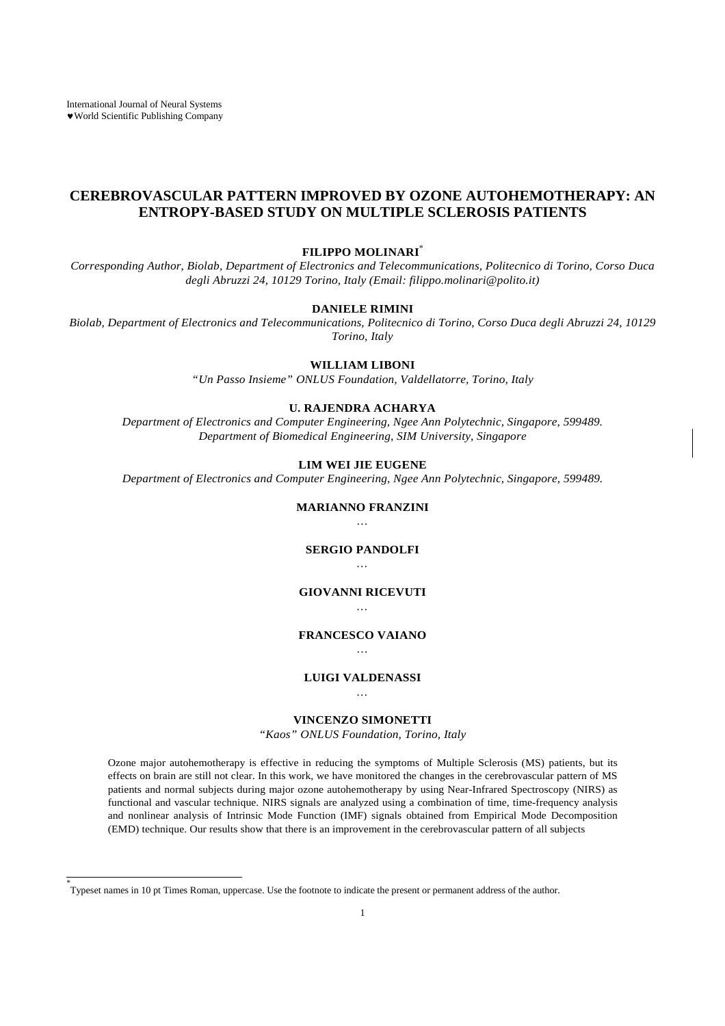# **CEREBROVASCULAR PATTERN IMPROVED BY OZONE AUTOHEMOTHERAPY: AN ENTROPY-BASED STUDY ON MULTIPLE SCLEROSIS PATIENTS**

#### **FILIPPO MOLINARI**\*

*Corresponding Author, Biolab, Department of Electronics and Telecommunications, Politecnico di Torino, Corso Duca degli Abruzzi 24, 10129 Torino, Italy (Email: filippo.molinari@polito.it)*

#### **DANIELE RIMINI**

*Biolab, Department of Electronics and Telecommunications, Politecnico di Torino, Corso Duca degli Abruzzi 24, 10129 Torino, Italy*

#### **WILLIAM LIBONI**

*"Un Passo Insieme" ONLUS Foundation, Valdellatorre, Torino, Italy*

## **U. RAJENDRA ACHARYA**

*Department of Electronics and Computer Engineering, Ngee Ann Polytechnic, Singapore, 599489. Department of Biomedical Engineering, SIM University, Singapore*

### **LIM WEI JIE EUGENE**

*Department of Electronics and Computer Engineering, Ngee Ann Polytechnic, Singapore, 599489.*

#### **MARIANNO FRANZINI** *…*

#### **SERGIO PANDOLFI** *…*

#### **GIOVANNI RICEVUTI** *…*

#### **FRANCESCO VAIANO** *…*

#### **LUIGI VALDENASSI** *…*

## **VINCENZO SIMONETTI**

*"Kaos" ONLUS Foundation, Torino, Italy*

Ozone major autohemotherapy is effective in reducing the symptoms of Multiple Sclerosis (MS) patients, but its effects on brain are still not clear. In this work, we have monitored the changes in the cerebrovascular pattern of MS patients and normal subjects during major ozone autohemotherapy by using Near-Infrared Spectroscopy (NIRS) as functional and vascular technique. NIRS signals are analyzed using a combination of time, time-frequency analysis and nonlinear analysis of Intrinsic Mode Function (IMF) signals obtained from Empirical Mode Decomposition (EMD) technique. Our results show that there is an improvement in the cerebrovascular pattern of all subjects

<sup>\*</sup> Typeset names in 10 pt Times Roman, uppercase. Use the footnote to indicate the present or permanent address of the author.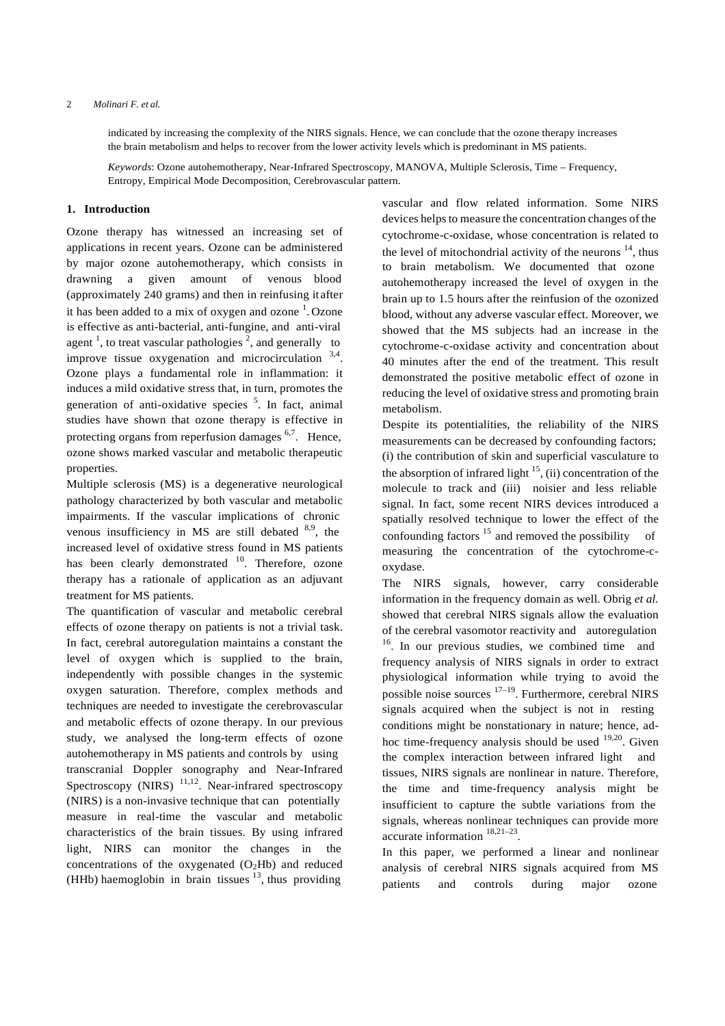indicated by increasing the complexity of the NIRS signals. Hence, we can conclude that the ozone therapy increases the brain metabolism and helps to recover from the lower activity levels which is predominant in MS patients.

*Keywords*: Ozone autohemotherapy, Near-Infrared Spectroscopy, MANOVA, Multiple Sclerosis, Time – Frequency, Entropy, Empirical Mode Decomposition, Cerebrovascular pattern.

#### **1. Introduction**

Ozone therapy has witnessed an increasing set of applications in recent years. Ozone can be administered by major ozone autohemotherapy, which consists in drawning a given amount of venous blood (approximately 240 grams) and then in reinfusing it after it has been added to a mix of oxygen and ozone  $<sup>1</sup>$ . Ozone</sup> is effective as anti-bacterial, anti-fungine, and anti-viral agent<sup>1</sup>, to treat vascular pathologies<sup>2</sup>, and generally to improve tissue oxygenation and microcirculation 3,4. Ozone plays a fundamental role in inflammation: it induces a mild oxidative stress that, in turn, promotes the generation of anti-oxidative species <sup>5</sup>. In fact, animal studies have shown that ozone therapy is effective in protecting organs from reperfusion damages  $6,7$ . Hence, ozone shows marked vascular and metabolic therapeutic properties.

Multiple sclerosis (MS) is a degenerative neurological pathology characterized by both vascular and metabolic impairments. If the vascular implications of chronic venous insufficiency in MS are still debated  $8.9$ , the increased level of oxidative stress found in MS patients has been clearly demonstrated  $10$ . Therefore, ozone therapy has a rationale of application as an adjuvant treatment for MS patients.

The quantification of vascular and metabolic cerebral effects of ozone therapy on patients is not a trivial task. In fact, cerebral autoregulation maintains a constant the level of oxygen which is supplied to the brain, independently with possible changes in the systemic oxygen saturation. Therefore, complex methods and techniques are needed to investigate the cerebrovascular and metabolic effects of ozone therapy. In our previous study, we analysed the long-term effects of ozone autohemotherapy in MS patients and controls by using transcranial Doppler sonography and Near-Infrared Spectroscopy (NIRS)  $^{11,12}$ . Near-infrared spectroscopy (NIRS) is a non-invasive technique that can potentially measure in real-time the vascular and metabolic characteristics of the brain tissues. By using infrared light, NIRS can monitor the changes in the concentrations of the oxygenated  $(O<sub>2</sub>Hb)$  and reduced (HHb) haemoglobin in brain tissues  $^{13}$ , thus providing

vascular and flow related information. Some NIRS devices helps to measure the concentration changes of the cytochrome-c-oxidase, whose concentration is related to the level of mitochondrial activity of the neurons  $14$ , thus to brain metabolism. We documented that ozone autohemotherapy increased the level of oxygen in the brain up to 1.5 hours after the reinfusion of the ozonized blood, without any adverse vascular effect. Moreover, we showed that the MS subjects had an increase in the cytochrome-c-oxidase activity and concentration about 40 minutes after the end of the treatment. This result demonstrated the positive metabolic effect of ozone in reducing the level of oxidative stress and promoting brain metabolism.

Despite its potentialities, the reliability of the NIRS measurements can be decreased by confounding factors; (i) the contribution of skin and superficial vasculature to the absorption of infrared light  $15$ , (ii) concentration of the molecule to track and (iii) noisier and less reliable signal. In fact, some recent NIRS devices introduced a spatially resolved technique to lower the effect of the confounding factors  $15$  and removed the possibility of measuring the concentration of the cytochrome-coxydase.

The NIRS signals, however, carry considerable information in the frequency domain as well. Obrig *et al.*  showed that cerebral NIRS signals allow the evaluation of the cerebral vasomotor reactivity and autoregulation <sup>16</sup>. In our previous studies, we combined time and frequency analysis of NIRS signals in order to extract physiological information while trying to avoid the possible noise sources 17–19. Furthermore, cerebral NIRS signals acquired when the subject is not in resting conditions might be nonstationary in nature; hence, adhoc time-frequency analysis should be used  $19,20$ . Given the complex interaction between infrared light and tissues, NIRS signals are nonlinear in nature. Therefore, the time and time-frequency analysis might be insufficient to capture the subtle variations from the signals, whereas nonlinear techniques can provide more accurate information 18,21–23.

In this paper, we performed a linear and nonlinear analysis of cerebral NIRS signals acquired from MS patients and controls during major ozone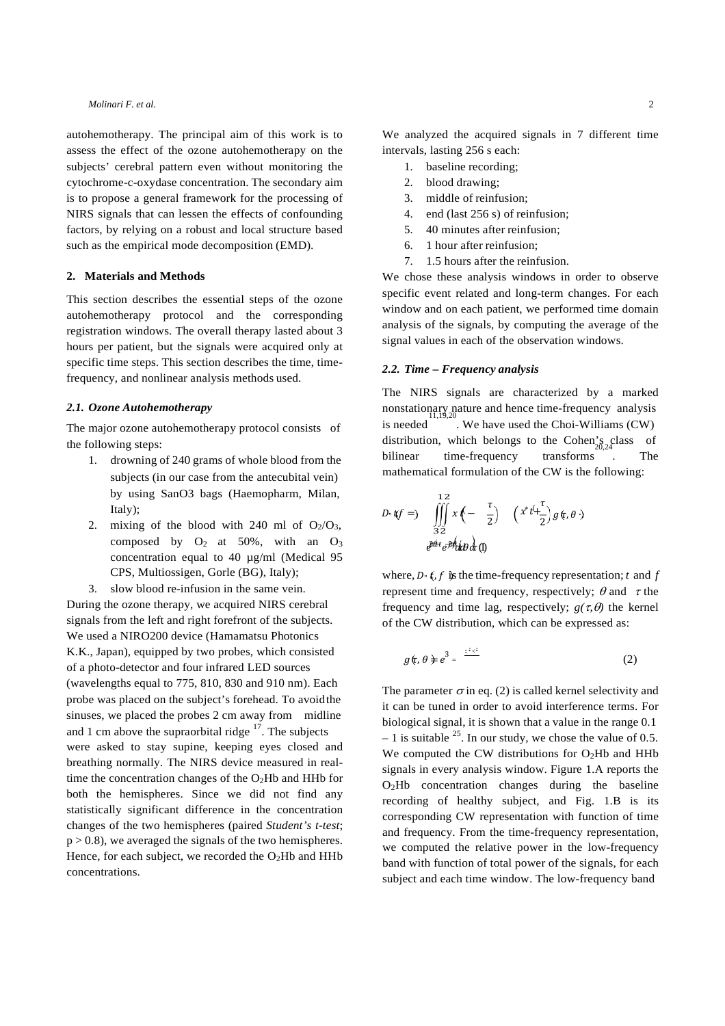autohemotherapy. The principal aim of this work is to assess the effect of the ozone autohemotherapy on the subjects' cerebral pattern even without monitoring the cytochrome-c-oxydase concentration. The secondary aim is to propose a general framework for the processing of NIRS signals that can lessen the effects of confounding factors, by relying on a robust and local structure based such as the empirical mode decomposition (EMD).

#### **2. Materials and Methods**

This section describes the essential steps of the ozone autohemotherapy protocol and the corresponding registration windows. The overall therapy lasted about 3 hours per patient, but the signals were acquired only at specific time steps. This section describes the time, timefrequency, and nonlinear analysis methods used.

### *2.1. Ozone Autohemotherapy*

The major ozone autohemotherapy protocol consists of

- 1. drowning of 240 grams of whole blood from the subjects (in our case from the antecubital vein) by using SanO3 bags (Haemopharm, Milan, Italy);
- 2. mixing of the blood with 240 ml of  $O_2/O_3$ , composed by  $O_2$  at 50%, with an  $O_3$ concentration equal to 40 µg/ml (Medical 95 CPS, Multiossigen, Gorle (BG), Italy);
- 3. slow blood re-infusion in the same vein.

During the ozone therapy, we acquired NIRS cerebral signals from the left and right forefront of the subjects. We used a NIRO200 device (Hamamatsu Photonics K.K., Japan), equipped by two probes, which consisted of a photo-detector and four infrared LED sources (wavelengths equal to 775, 810, 830 and 910 nm). Each probe was placed on the subject's forehead. To avoidthe sinuses, we placed the probes 2 cm away from midline and 1 cm above the supraorbital ridge  $17$ . The subjects were asked to stay supine, keeping eyes closed and breathing normally. The NIRS device measured in realtime the concentration changes of the  $O<sub>2</sub>Hb$  and HHb for both the hemispheres. Since we did not find any statistically significant difference in the concentration changes of the two hemispheres (paired *Student's t-test*;  $p > 0.8$ ), we averaged the signals of the two hemispheres. Hence, for each subject, we recorded the  $O<sub>2</sub>Hb$  and HHb concentrations.

We analyzed the acquired signals in 7 different time intervals, lasting 256 s each:

- 1. baseline recording;
- 2. blood drawing;
- 3. middle of reinfusion;
- 4. end (last 256 s) of reinfusion;
- 5. 40 minutes after reinfusion;
- 6. 1 hour after reinfusion;
- 7. 1.5 hours after the reinfusion.

We chose these analysis windows in order to observe specific event related and long-term changes. For each window and on each patient, we performed time domain analysis of the signals, by computing the average of the signal values in each of the observation windows.

#### *2.2. Time – Frequency analysis*

The NIRS signals are characterized by a marked nonstationary nature and hence time-frequency analysis is needed. We have used the Choi-Williams (CW) the following steps:<br>  $\frac{1}{20.24}$  distribution, which belongs to the Cohen's class of<br>  $\frac{1}{20.24}$  drowning of 240 grams of whole blood from the bilinear time-frequency transforms. The mathematical formulation of the CW is the following:

$$
D \cdot \mathbf{t}(f =) \iiint_{32}^{12} x \left( -\frac{\tau}{2} \right) \left( x^* t + \frac{\tau}{2} \right) g(\tau, \theta)
$$
  

$$
e^{\frac{x}{2} \theta + \frac{\tau}{2} \theta} \frac{1}{\theta} \frac{1}{\theta} \frac{1}{\theta} \frac{1}{\theta} \frac{1}{\theta} \frac{1}{\theta} \frac{1}{\theta} \frac{1}{\theta} \frac{1}{\theta} \frac{1}{\theta} \frac{1}{\theta} \frac{1}{\theta} \frac{1}{\theta} \frac{1}{\theta} \frac{1}{\theta} \frac{1}{\theta} \frac{1}{\theta} \frac{1}{\theta} \frac{1}{\theta} \frac{1}{\theta} \frac{1}{\theta} \frac{1}{\theta} \frac{1}{\theta} \frac{1}{\theta} \frac{1}{\theta} \frac{1}{\theta} \frac{1}{\theta} \frac{1}{\theta} \frac{1}{\theta} \frac{1}{\theta} \frac{1}{\theta} \frac{1}{\theta} \frac{1}{\theta} \frac{1}{\theta} \frac{1}{\theta} \frac{1}{\theta} \frac{1}{\theta} \frac{1}{\theta} \frac{1}{\theta} \frac{1}{\theta} \frac{1}{\theta} \frac{1}{\theta} \frac{1}{\theta} \frac{1}{\theta} \frac{1}{\theta} \frac{1}{\theta} \frac{1}{\theta} \frac{1}{\theta} \frac{1}{\theta} \frac{1}{\theta} \frac{1}{\theta} \frac{1}{\theta} \frac{1}{\theta} \frac{1}{\theta} \frac{1}{\theta} \frac{1}{\theta} \frac{1}{\theta} \frac{1}{\theta} \frac{1}{\theta} \frac{1}{\theta} \frac{1}{\theta} \frac{1}{\theta} \frac{1}{\theta} \frac{1}{\theta} \frac{1}{\theta} \frac{1}{\theta} \frac{1}{\theta} \frac{1}{\theta} \frac{1}{\theta} \frac{1}{\theta} \frac{1}{\theta} \frac{1}{\theta} \frac{1}{\theta} \frac{1}{\theta} \frac{1}{\theta} \frac{1}{\theta} \frac{1}{\theta} \frac{1}{\theta} \frac{1}{\theta} \frac{1}{\theta} \frac{1}{\theta} \frac{1}{\theta} \frac{1}{\theta} \frac
$$

where,  $D \cdot f$ ,  $f$  is the time-frequency representation; *t* and *f* represent time and frequency, respectively;  $\theta$  and  $\tau$  the frequency and time lag, respectively;  $g(\tau, \theta)$  the kernel of the CW distribution, which can be expressed as:

$$
g(\tau,\theta \neq e^3 = \frac{e^{i\zeta t}}{\zeta t}
$$
 (2)

The parameter  $\sigma$  in eq. (2) is called kernel selectivity and it can be tuned in order to avoid interference terms. For biological signal, it is shown that a value in the range 0.1  $-1$  is suitable <sup>25</sup>. In our study, we chose the value of 0.5. We computed the CW distributions for  $O<sub>2</sub>Hb$  and HHb signals in every analysis window. Figure 1.A reports the O2Hb concentration changes during the baseline recording of healthy subject, and Fig. 1.B is its corresponding CW representation with function of time and frequency. From the time-frequency representation, we computed the relative power in the low-frequency band with function of total power of the signals, for each subject and each time window. The low-frequency band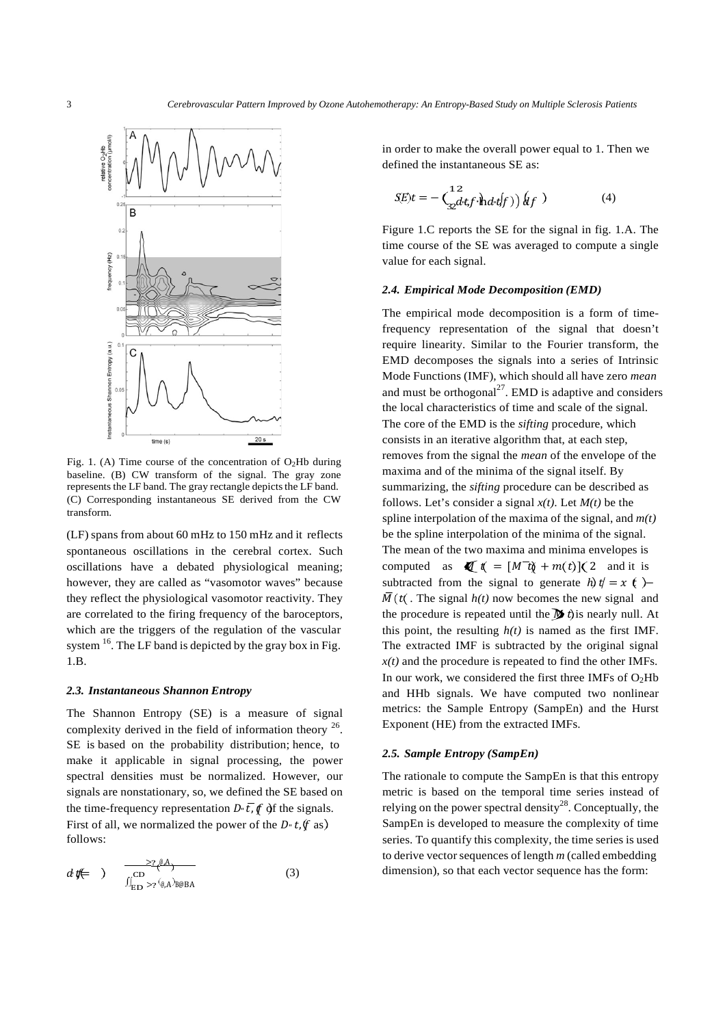

Fig. 1. (A) Time course of the concentration of  $O<sub>2</sub>Hb$  during baseline. (B) CW transform of the signal. The gray zone represents the LF band. The gray rectangle depicts the LF band. (C) Corresponding instantaneous SE derived from the CW transform.

(LF) spans from about 60 mHz to 150 mHz and it reflects spontaneous oscillations in the cerebral cortex. Such oscillations have a debated physiological meaning; however, they are called as "vasomotor waves" because they reflect the physiological vasomotor reactivity. They are correlated to the firing frequency of the baroceptors, which are the triggers of the regulation of the vascular system  $16$ . The LF band is depicted by the gray box in Fig. 1.B.

#### *2.3. Instantaneous Shannon Entropy*

The Shannon Entropy (SE) is a measure of signal complexity derived in the field of information theory  $^{26}$ . SE is based on the probability distribution; hence, to make it applicable in signal processing, the power spectral densities must be normalized. However, our signals are nonstationary, so, we defined the SE based on the time-frequency representation  $D \cdot \overline{t}$ ,  $\oint$  of the signals. First of all, we normalized the power of the  $D \cdot t$ ,  $(f$  as) follows:

$$
d\mathbf{t} \leftarrow \quad) \qquad \frac{\sum_{i=1}^{n} (A_i - A_i)}{\iint_{ED} \sum_{j} (\mathbf{t}_i A_j) \mathbf{t}_i \mathbf{t}_j \mathbf{t}_j} \tag{3}
$$

in order to make the overall power equal to 1. Then we defined the instantaneous SE as:

$$
SE(t) = -\left(\frac{12}{32}dt f \cdot \hat{h} dt f f\right) \hat{g}_f \tag{4}
$$

Figure 1.C reports the SE for the signal in fig. 1.A. The time course of the SE was averaged to compute a single value for each signal.

#### *2.4. Empirical Mode Decomposition (EMD)*

The empirical mode decomposition is a form of timefrequency representation of the signal that doesn't require linearity. Similar to the Fourier transform, the EMD decomposes the signals into a series of Intrinsic Mode Functions (IMF), which should all have zero *mean* and must be orthogonal $^{27}$ . EMD is adaptive and considers the local characteristics of time and scale of the signal. The core of the EMD is the *sifting* procedure, which consists in an iterative algorithm that, at each step, removes from the signal the *mean* of the envelope of the maxima and of the minima of the signal itself. By summarizing, the *sifting* procedure can be described as follows. Let's consider a signal  $x(t)$ . Let  $M(t)$  be the spline interpolation of the maxima of the signal, and *m(t)*  be the spline interpolation of the minima of the signal. The mean of the two maxima and minima envelopes is computed as  $\oint \phi = [M^T \phi + m(t)] (2$  and it is subtracted from the signal to generate  $h$ )  $t = x$   $(t)$  - $\overline{M}(t)$ . The signal  $h(t)$  now becomes the new signal and the procedure is repeated until the  $\bf{M}$  the nearly null. At this point, the resulting  $h(t)$  is named as the first IMF. The extracted IMF is subtracted by the original signal  $x(t)$  and the procedure is repeated to find the other IMFs. In our work, we considered the first three IMFs of  $O<sub>2</sub>Hb$ and HHb signals. We have computed two nonlinear metrics: the Sample Entropy (SampEn) and the Hurst Exponent (HE) from the extracted IMFs.

#### *2.5. Sample Entropy (SampEn)*

The rationale to compute the SampEn is that this entropy metric is based on the temporal time series instead of relying on the power spectral density<sup>28</sup>. Conceptually, the SampEn is developed to measure the complexity of time series. To quantify this complexity, the time series is used to derive vector sequences of length *m* (called embedding (3) dimension), so that each vector sequence has the form: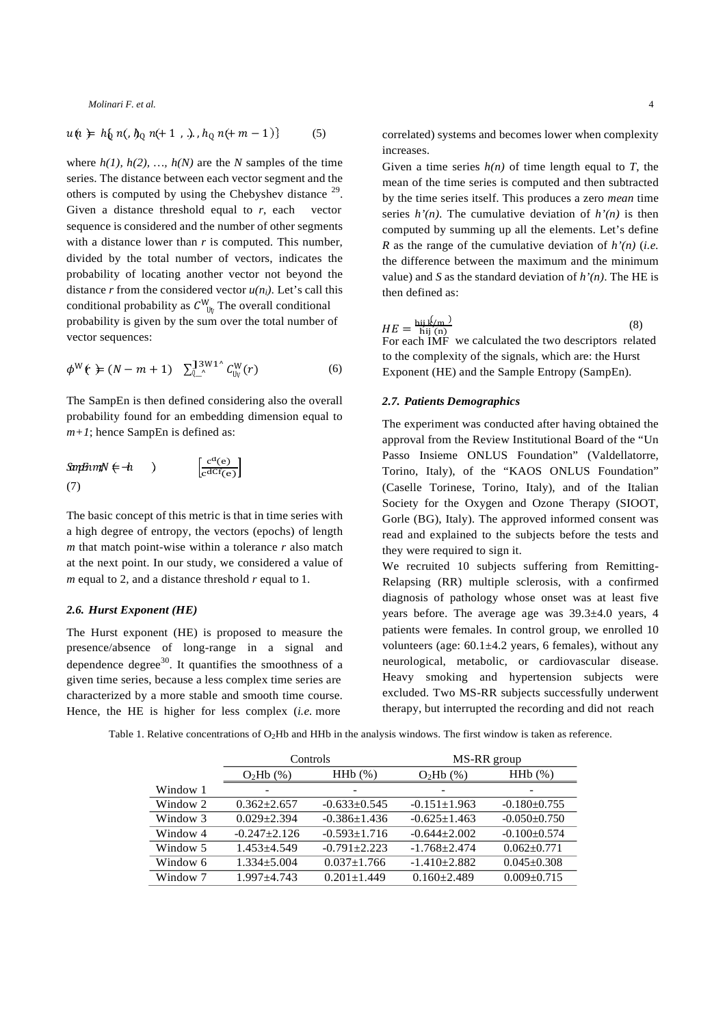$$
u(n) = h_0 \ n(0, h_0 \ n(0+1, \ldots), h_0 \ n(0+1))
$$
 (5)

conditional probability as  $C_{\ \text{U}_V}^{\text{W}}$  The overall conditional where  $h(1)$ ,  $h(2)$ , ...,  $h(N)$  are the *N* samples of the time series. The distance between each vector segment and the others is computed by using the Chebyshev distance  $29$ . Given a distance threshold equal to *r*, each vector sequence is considered and the number of other segments with a distance lower than *r* is computed. This number, divided by the total number of vectors, indicates the probability of locating another vector not beyond the distance *r* from the considered vector  $u(n_i)$ . Let's call this probability is given by the sum over the total number of vector sequences:

$$
\phi^{\mathsf{W}}(\mathbf{t}) \doteq (N-m+1) \sum_{\mathsf{U}_{\mathsf{L}}^{\mathsf{A}}}^{\mathsf{J}^{\mathsf{3W1}^{\mathsf{A}}}} C_{\mathsf{U}_{\mathsf{V}}}^{\mathsf{W}}(r) \tag{6}
$$

The SampEn is then defined considering also the overall probability found for an embedding dimension equal to *m+1*; hence SampEn is defined as:

$$
\mathbf{Sm}\mathbf{F} \mathbf{m}\mathbf{N} \in \mathbf{h} \qquad \qquad \bigg| \qquad \qquad \left[ \frac{\mathbf{c}^{\mathbf{d}}(\mathbf{e})}{\mathbf{c}^{\mathbf{d}} \mathbf{C}^{\mathbf{f}}(\mathbf{e})} \right]
$$
\n
$$
\qquad \qquad (7)
$$

The basic concept of this metric is that in time series with a high degree of entropy, the vectors (epochs) of length *m* that match point-wise within a tolerance *r* also match at the next point. In our study, we considered a value of *m* equal to 2, and a distance threshold *r* equal to 1.

### *2.6. Hurst Exponent (HE)*

The Hurst exponent (HE) is proposed to measure the presence/absence of long-range in a signal and dependence degree<sup>30</sup>. It quantifies the smoothness of a given time series, because a less complex time series are characterized by a more stable and smooth time course. Hence, the HE is higher for less complex (*i.e.* more

correlated) systems and becomes lower when complexity increases.

Given a time series  $h(n)$  of time length equal to *T*, the mean of the time series is computed and then subtracted by the time series itself. This produces a zero *mean* time series  $h'(n)$ . The cumulative deviation of  $h'(n)$  is then computed by summing up all the elements. Let's define *R* as the range of the cumulative deviation of *h'(n)* (*i.e.*  the difference between the maximum and the minimum value) and *S* as the standard deviation of *h'(n)*. The HE is then defined as:

 $HE = \frac{\text{hij }R/\text{m}}{\text{hij }(\text{n})}$ <br>For each IMF (8) we calculated the two descriptors related to the complexity of the signals, which are: the Hurst Exponent (HE) and the Sample Entropy (SampEn).

#### *2.7. Patients Demographics*

The experiment was conducted after having obtained the approval from the Review Institutional Board of the "Un Passo Insieme ONLUS Foundation" (Valdellatorre, Torino, Italy), of the "KAOS ONLUS Foundation" (Caselle Torinese, Torino, Italy), and of the Italian Society for the Oxygen and Ozone Therapy (SIOOT, Gorle (BG), Italy). The approved informed consent was read and explained to the subjects before the tests and they were required to sign it.

We recruited 10 subjects suffering from Remitting-Relapsing (RR) multiple sclerosis, with a confirmed diagnosis of pathology whose onset was at least five years before. The average age was 39.3±4.0 years, 4 patients were females. In control group, we enrolled 10 volunteers (age: 60.1±4.2 years, 6 females), without any neurological, metabolic, or cardiovascular disease. Heavy smoking and hypertension subjects were excluded. Two MS-RR subjects successfully underwent therapy, but interrupted the recording and did not reach

Table 1. Relative concentrations of O<sub>2</sub>Hb and HHb in the analysis windows. The first window is taken as reference.

|          | Controls          |                    | MS-RR group        |                    |
|----------|-------------------|--------------------|--------------------|--------------------|
|          | $O2Hb$ (%)        | HHb(%)             | $O2Hb$ (%)         | HHb(%)             |
| Window 1 |                   | -                  |                    |                    |
| Window 2 | $0.362 + 2.657$   | $-0.633 \pm 0.545$ | $-0.151 \pm 1.963$ | $-0.180 \pm 0.755$ |
| Window 3 | $0.029 + 2.394$   | $-0.386 \pm 1.436$ | $-0.625+1.463$     | $-0.050+0.750$     |
| Window 4 | $-0.247 + 2.126$  | $-0.593 \pm 1.716$ | $-0.644 + 2.002$   | $-0.100+0.574$     |
| Window 5 | $1.453 \pm 4.549$ | $-0.791 + 2.223$   | $-1.768 + 2.474$   | $0.062 + 0.771$    |
| Window 6 | $1.334 + 5.004$   | $0.037 + 1.766$    | $-1.410 + 2.882$   | $0.045 \pm 0.308$  |
| Window 7 | $1.997 + 4.743$   | $0.201 \pm 1.449$  | $0.160 + 2.489$    | $0.009 + 0.715$    |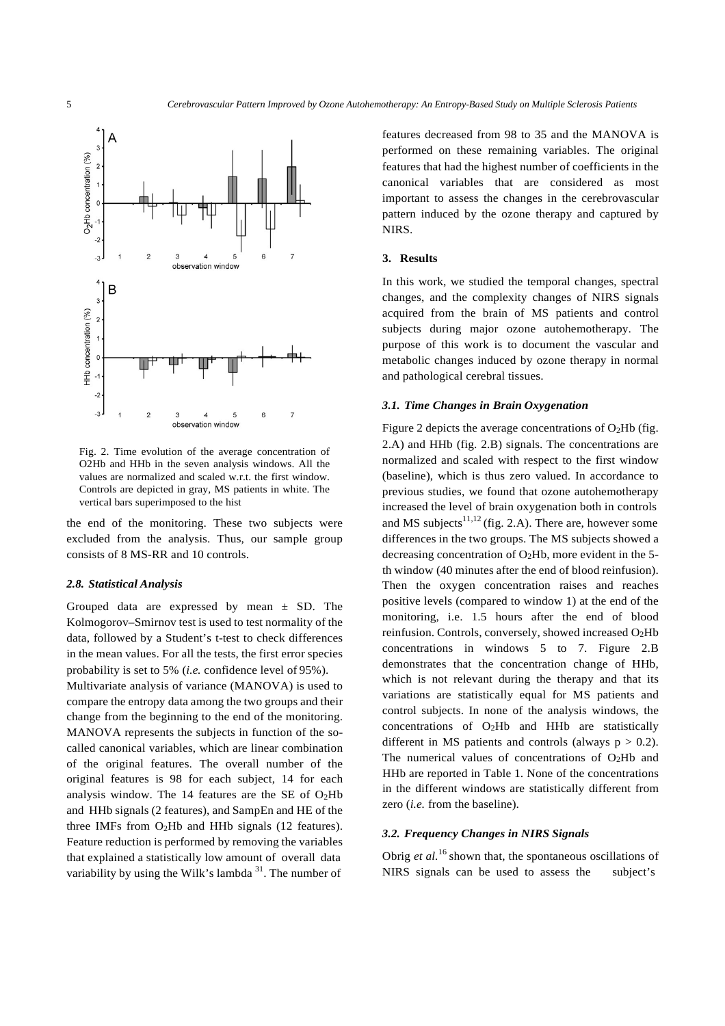

Fig. 2. Time evolution of the average concentration of O2Hb and HHb in the seven analysis windows. All the values are normalized and scaled w.r.t. the first window. Controls are depicted in gray, MS patients in white. The vertical bars superimposed to the hist

the end of the monitoring. These two subjects were excluded from the analysis. Thus, our sample group consists of 8 MS-RR and 10 controls.

#### *2.8. Statistical Analysis*

Grouped data are expressed by mean  $\pm$  SD. The Kolmogorov–Smirnov test is used to test normality of the data, followed by a Student's t-test to check differences in the mean values. For all the tests, the first error species probability is set to 5% (*i.e.* confidence level of 95%). Multivariate analysis of variance (MANOVA) is used to compare the entropy data among the two groups and their change from the beginning to the end of the monitoring. MANOVA represents the subjects in function of the socalled canonical variables, which are linear combination of the original features. The overall number of the original features is 98 for each subject, 14 for each analysis window. The 14 features are the SE of  $O<sub>2</sub>Hb$ and HHb signals (2 features), and SampEn and HE of the three IMFs from  $O<sub>2</sub>Hb$  and HHb signals (12 features). Feature reduction is performed by removing the variables that explained a statistically low amount of overall data variability by using the Wilk's lambda  $31$ . The number of

features decreased from 98 to 35 and the MANOVA is performed on these remaining variables. The original features that had the highest number of coefficients in the canonical variables that are considered as most important to assess the changes in the cerebrovascular pattern induced by the ozone therapy and captured by NIRS.

#### **3. Results**

In this work, we studied the temporal changes, spectral changes, and the complexity changes of NIRS signals acquired from the brain of MS patients and control subjects during major ozone autohemotherapy. The purpose of this work is to document the vascular and metabolic changes induced by ozone therapy in normal and pathological cerebral tissues.

#### *3.1. Time Changes in Brain Oxygenation*

Figure 2 depicts the average concentrations of  $O<sub>2</sub>Hb$  (fig. 2.A) and HHb (fig. 2.B) signals. The concentrations are normalized and scaled with respect to the first window (baseline), which is thus zero valued. In accordance to previous studies, we found that ozone autohemotherapy increased the level of brain oxygenation both in controls and MS subjects<sup>11,12</sup> (fig. 2.A). There are, however some differences in the two groups. The MS subjects showed a decreasing concentration of  $O_2Hb$ , more evident in the 5th window (40 minutes after the end of blood reinfusion). Then the oxygen concentration raises and reaches positive levels (compared to window 1) at the end of the monitoring, i.e. 1.5 hours after the end of blood reinfusion. Controls, conversely, showed increased O2Hb concentrations in windows 5 to 7. Figure 2.B demonstrates that the concentration change of HHb, which is not relevant during the therapy and that its variations are statistically equal for MS patients and control subjects. In none of the analysis windows, the concentrations of O2Hb and HHb are statistically different in MS patients and controls (always  $p > 0.2$ ). The numerical values of concentrations of  $O<sub>2</sub>Hb$  and HHb are reported in Table 1. None of the concentrations in the different windows are statistically different from zero (*i.e.* from the baseline).

### *3.2. Frequency Changes in NIRS Signals*

Obrig *et al.*<sup>16</sup> shown that, the spontaneous oscillations of NIRS signals can be used to assess the subject's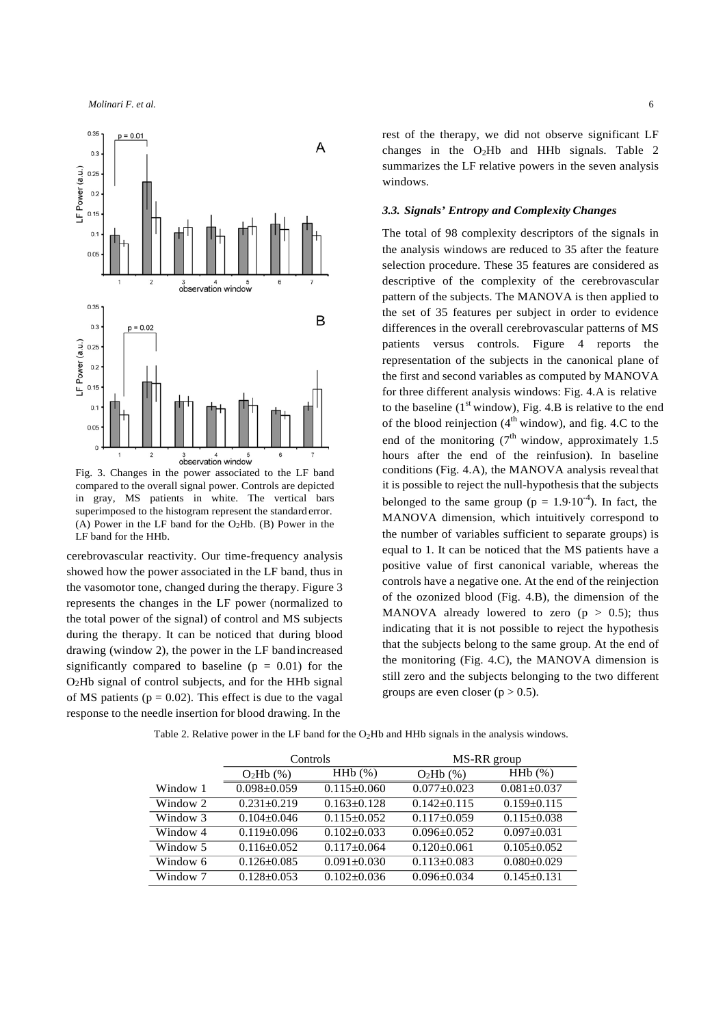

Fig. 3. Changes in the power associated to the LF band compared to the overall signal power. Controls are depicted in gray, MS patients in white. The vertical bars superimposed to the histogram represent the standard error. (A) Power in the LF band for the  $O<sub>2</sub>Hb$ . (B) Power in the LF band for the HHb.

cerebrovascular reactivity. Our time-frequency analysis showed how the power associated in the LF band, thus in the vasomotor tone, changed during the therapy. Figure 3 represents the changes in the LF power (normalized to the total power of the signal) of control and MS subjects during the therapy. It can be noticed that during blood drawing (window 2), the power in the LF bandincreased significantly compared to baseline  $(p = 0.01)$  for the O2Hb signal of control subjects, and for the HHb signal of MS patients ( $p = 0.02$ ). This effect is due to the vagal response to the needle insertion for blood drawing. In the

rest of the therapy, we did not observe significant LF changes in the O2Hb and HHb signals. Table 2 summarizes the LF relative powers in the seven analysis windows.

#### *3.3. Signals' Entropy and Complexity Changes*

The total of 98 complexity descriptors of the signals in the analysis windows are reduced to 35 after the feature selection procedure. These 35 features are considered as descriptive of the complexity of the cerebrovascular pattern of the subjects. The MANOVA is then applied to the set of 35 features per subject in order to evidence differences in the overall cerebrovascular patterns of MS patients versus controls. Figure 4 reports the representation of the subjects in the canonical plane of the first and second variables as computed by MANOVA for three different analysis windows: Fig. 4.A is relative to the baseline  $(1<sup>st</sup>$  window), Fig. 4.B is relative to the end of the blood reinjection  $(4<sup>th</sup>$  window), and fig. 4.C to the end of the monitoring  $(7<sup>th</sup>$  window, approximately 1.5 hours after the end of the reinfusion). In baseline conditions (Fig. 4.A), the MANOVA analysis revealthat it is possible to reject the null-hypothesis that the subjects belonged to the same group ( $p = 1.9 \cdot 10^{-4}$ ). In fact, the MANOVA dimension, which intuitively correspond to the number of variables sufficient to separate groups) is equal to 1. It can be noticed that the MS patients have a positive value of first canonical variable, whereas the controls have a negative one. At the end of the reinjection of the ozonized blood (Fig. 4.B), the dimension of the MANOVA already lowered to zero  $(p > 0.5)$ ; thus indicating that it is not possible to reject the hypothesis that the subjects belong to the same group. At the end of the monitoring (Fig. 4.C), the MANOVA dimension is still zero and the subjects belonging to the two different groups are even closer ( $p > 0.5$ ).

|          | Controls          |                   | MS-RR group       |                   |
|----------|-------------------|-------------------|-------------------|-------------------|
|          | $O2Hb$ (%)        | HHb(%)            | $O2Hb$ (%)        | HHb(%)            |
| Window 1 | $0.098 \pm 0.059$ | $0.115 \pm 0.060$ | $0.077 \pm 0.023$ | $0.081 \pm 0.037$ |
| Window 2 | $0.231 \pm 0.219$ | $0.163+0.128$     | $0.142 + 0.115$   | $0.159 \pm 0.115$ |
| Window 3 | $0.104 \pm 0.046$ | $0.115 \pm 0.052$ | $0.117 \pm 0.059$ | $0.115 \pm 0.038$ |
| Window 4 | $0.119 \pm 0.096$ | $0.102 + 0.033$   | $0.096 + 0.052$   | $0.097 \pm 0.031$ |
| Window 5 | $0.116 \pm 0.052$ | $0.117+0.064$     | $0.120 \pm 0.061$ | $0.105 \pm 0.052$ |
| Window 6 | $0.126 \pm 0.085$ | $0.091 \pm 0.030$ | $0.113 \pm 0.083$ | $0.080 \pm 0.029$ |
| Window 7 | $0.128 + 0.053$   | $0.102 \pm 0.036$ | $0.096 \pm 0.034$ | $0.145+0.131$     |

Table 2. Relative power in the LF band for the O<sub>2</sub>Hb and HHb signals in the analysis windows.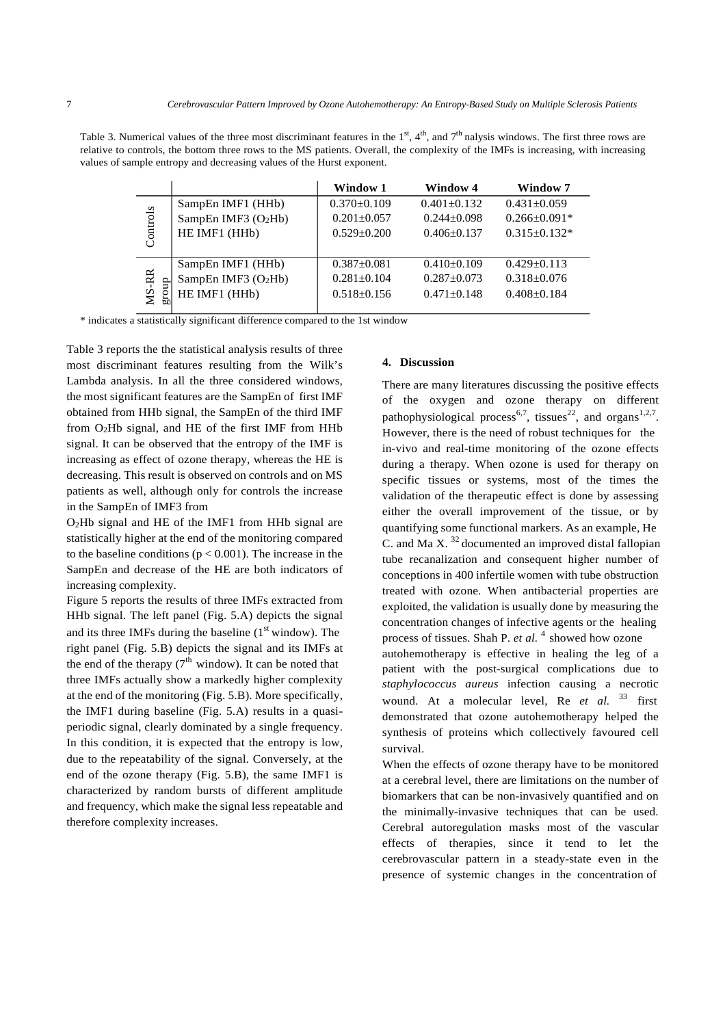Table 3. Numerical values of the three most discriminant features in the  $1<sup>st</sup>$ ,  $4<sup>th</sup>$ , and  $7<sup>th</sup>$  nalysis windows. The first three rows are relative to controls, the bottom three rows to the MS patients. Overall, the complexity of the IMFs is increasing, with increasing values of sample entropy and decreasing values of the Hurst exponent.

|                      |                      | Window 1        | <b>Window 4</b>   | Window 7           |
|----------------------|----------------------|-----------------|-------------------|--------------------|
| Controls             | SampEn IMF1 (HHb)    | $0.370+0.109$   | $0.401 \pm 0.132$ | $0.431 \pm 0.059$  |
|                      | SampEn IMF3 $(O2Hb)$ | $0.201 + 0.057$ | $0.244 + 0.098$   | $0.266 \pm 0.091*$ |
|                      | HE IMF1 (HHb)        | $0.529 + 0.200$ | $0.406 \pm 0.137$ | $0.315+0.132*$     |
| <b>MS-RR</b><br>fron | SampEn IMF1 (HHb)    | $0.387 + 0.081$ | $0.410+0.109$     | $0.429 + 0.113$    |
|                      | SampEn IMF3 $(O2Hb)$ | $0.281 + 0.104$ | $0.287 + 0.073$   | $0.318 + 0.076$    |
|                      | HE IMF1 (HHb)        | $0.518 + 0.156$ | $0.471 + 0.148$   | $0.408 + 0.184$    |

\* indicates a statistically significant difference compared to the 1st window

Table 3 reports the the statistical analysis results of three most discriminant features resulting from the Wilk's Lambda analysis. In all the three considered windows, the most significant features are the SampEn of first IMF obtained from HHb signal, the SampEn of the third IMF from O2Hb signal, and HE of the first IMF from HHb signal. It can be observed that the entropy of the IMF is increasing as effect of ozone therapy, whereas the HE is decreasing. This result is observed on controls and on MS patients as well, although only for controls the increase in the SampEn of IMF3 from

O2Hb signal and HE of the IMF1 from HHb signal are statistically higher at the end of the monitoring compared to the baseline conditions ( $p < 0.001$ ). The increase in the SampEn and decrease of the HE are both indicators of increasing complexity.

Figure 5 reports the results of three IMFs extracted from HHb signal. The left panel (Fig. 5.A) depicts the signal and its three IMFs during the baseline  $(1<sup>st</sup>$  window). The right panel (Fig. 5.B) depicts the signal and its IMFs at the end of the therapy  $(7<sup>th</sup>$  window). It can be noted that three IMFs actually show a markedly higher complexity at the end of the monitoring (Fig. 5.B). More specifically, the IMF1 during baseline (Fig. 5.A) results in a quasiperiodic signal, clearly dominated by a single frequency. In this condition, it is expected that the entropy is low, due to the repeatability of the signal. Conversely, at the end of the ozone therapy (Fig. 5.B), the same IMF1 is characterized by random bursts of different amplitude and frequency, which make the signal less repeatable and therefore complexity increases.

#### **4. Discussion**

There are many literatures discussing the positive effects of the oxygen and ozone therapy on different pathophysiological process<sup>6,7</sup>, tissues<sup>22</sup>, and organs<sup>1,2,7</sup>. However, there is the need of robust techniques for the in-vivo and real-time monitoring of the ozone effects during a therapy. When ozone is used for therapy on specific tissues or systems, most of the times the validation of the therapeutic effect is done by assessing either the overall improvement of the tissue, or by quantifying some functional markers. As an example, He C. and Ma X.  $32$  documented an improved distal fallopian tube recanalization and consequent higher number of conceptions in 400 infertile women with tube obstruction treated with ozone. When antibacterial properties are exploited, the validation is usually done by measuring the concentration changes of infective agents or the healing process of tissues. Shah P. *et al.* 4 showed how ozone autohemotherapy is effective in healing the leg of a patient with the post-surgical complications due to

*staphylococcus aureus* infection causing a necrotic wound. At a molecular level, Re *et al.* <sup>33</sup> first demonstrated that ozone autohemotherapy helped the synthesis of proteins which collectively favoured cell survival.

When the effects of ozone therapy have to be monitored at a cerebral level, there are limitations on the number of biomarkers that can be non-invasively quantified and on the minimally-invasive techniques that can be used. Cerebral autoregulation masks most of the vascular effects of therapies, since it tend to let the cerebrovascular pattern in a steady-state even in the presence of systemic changes in the concentration of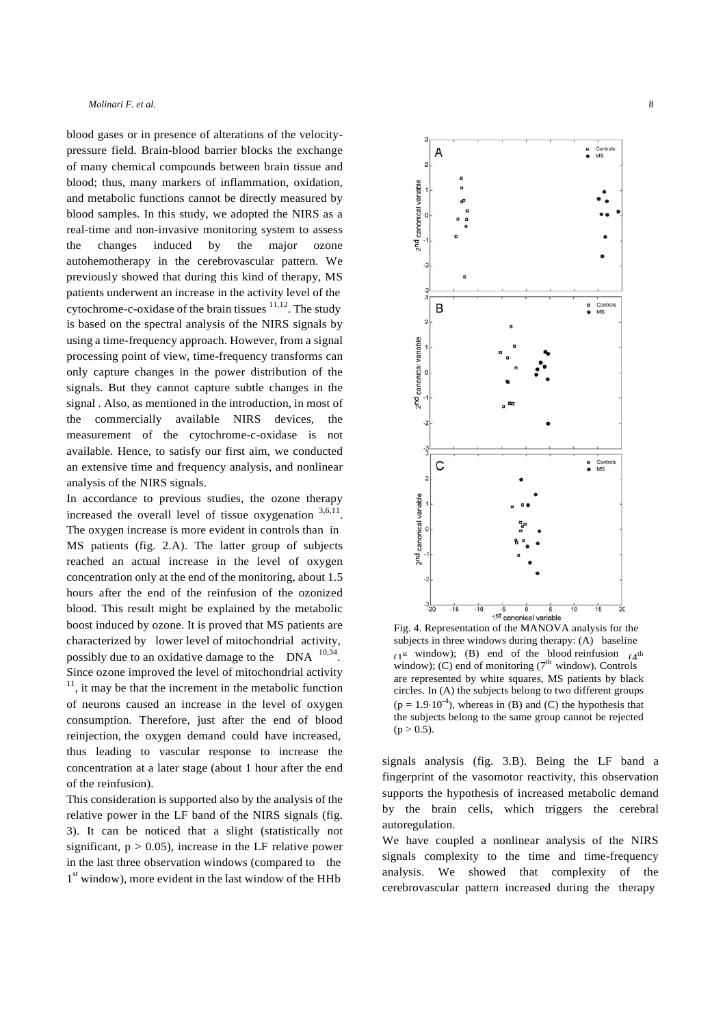blood gases or in presence of alterations of the velocitypressure field. Brain-blood barrier blocks the exchange of many chemical compounds between brain tissue and blood; thus, many markers of inflammation, oxidation, and metabolic functions cannot be directly measured by blood samples. In this study, we adopted the NIRS as a real-time and non-invasive monitoring system to assess the changes induced by the major ozone autohemotherapy in the cerebrovascular pattern. We previously showed that during this kind of therapy, MS patients underwent an increase in the activity level of the cytochrome-c-oxidase of the brain tissues  $11,12$ . The study is based on the spectral analysis of the NIRS signals by using a time-frequency approach. However, from a signal processing point of view, time-frequency transforms can only capture changes in the power distribution of the signals. But they cannot capture subtle changes in the signal . Also, as mentioned in the introduction, in most of the commercially available NIRS devices, the measurement of the cytochrome-c-oxidase is not available. Hence, to satisfy our first aim, we conducted an extensive time and frequency analysis, and nonlinear analysis of the NIRS signals.

In accordance to previous studies, the ozone therapy increased the overall level of tissue oxygenation  $3,6,11$ . The oxygen increase is more evident in controls than in MS patients (fig. 2.A). The latter group of subjects reached an actual increase in the level of oxygen concentration only at the end of the monitoring, about 1.5 hours after the end of the reinfusion of the ozonized blood. This result might be explained by the metabolic boost induced by ozone. It is proved that MS patients are characterized by lower level of mitochondrial activity, possibly due to an oxidative damage to the  $DNA$ <sup>10,34</sup>. Since ozone improved the level of mitochondrial activity  $11$ , it may be that the increment in the metabolic function of neurons caused an increase in the level of oxygen consumption. Therefore, just after the end of blood reinjection, the oxygen demand could have increased, thus leading to vascular response to increase the concentration at a later stage (about 1 hour after the end of the reinfusion).

This consideration is supported also by the analysis of the relative power in the LF band of the NIRS signals (fig. 3). It can be noticed that a slight (statistically not significant,  $p > 0.05$ ), increase in the LF relative power in the last three observation windows (compared to the  $1<sup>st</sup>$  window), more evident in the last window of the HHb



Fig. 4. Representation of the MANOVA analysis for the subjects in three windows during therapy: (A) baseline (1st window); (B) end of the blood reinfusion  $(4^{\text{th}})$ window); (C) end of monitoring  $(7<sup>th</sup>$  window). Controls are represented by white squares, MS patients by black circles. In (A) the subjects belong to two different groups  $(p = 1.9 \cdot 10^{-4})$ , whereas in (B) and (C) the hypothesis that the subjects belong to the same group cannot be rejected  $(p > 0.5)$ .

signals analysis (fig. 3.B). Being the LF band a fingerprint of the vasomotor reactivity, this observation supports the hypothesis of increased metabolic demand by the brain cells, which triggers the cerebral autoregulation.

We have coupled a nonlinear analysis of the NIRS signals complexity to the time and time-frequency analysis. We showed that complexity of the cerebrovascular pattern increased during the therapy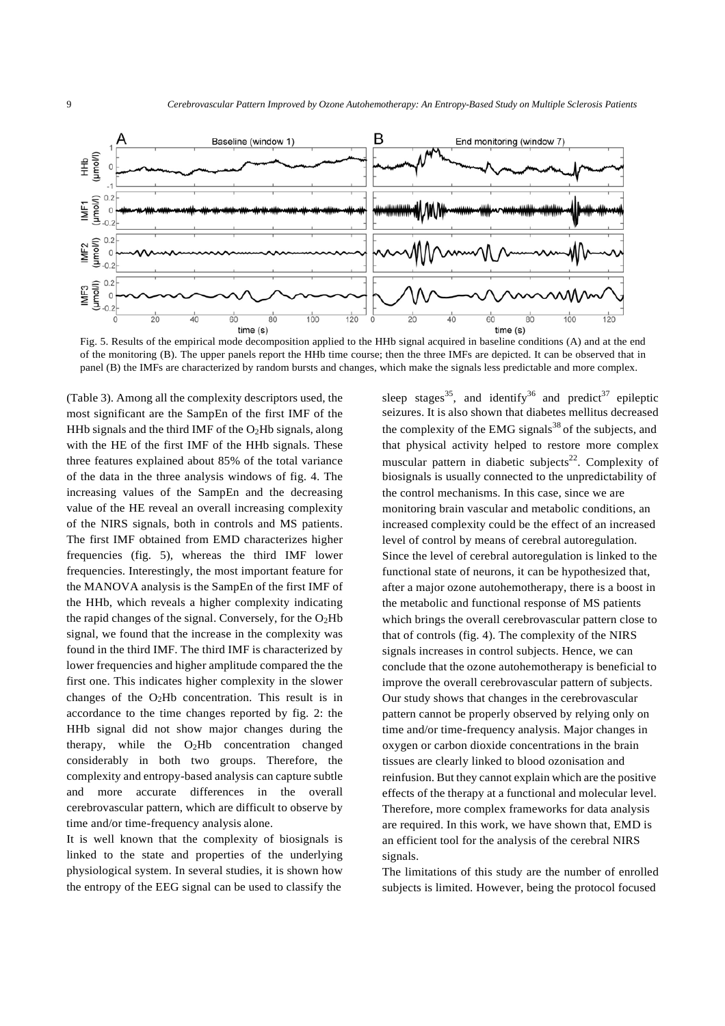

Fig. 5. Results of the empirical mode decomposition applied to the HHb signal acquired in baseline conditions (A) and at the end of the monitoring (B). The upper panels report the HHb time course; then the three IMFs are depicted. It can be observed that in panel (B) the IMFs are characterized by random bursts and changes, which make the signals less predictable and more complex.

(Table 3). Among all the complexity descriptors used, the most significant are the SampEn of the first IMF of the HHb signals and the third IMF of the  $O<sub>2</sub>$ Hb signals, along with the HE of the first IMF of the HHb signals. These three features explained about 85% of the total variance of the data in the three analysis windows of fig. 4. The increasing values of the SampEn and the decreasing value of the HE reveal an overall increasing complexity of the NIRS signals, both in controls and MS patients. The first IMF obtained from EMD characterizes higher frequencies (fig. 5), whereas the third IMF lower frequencies. Interestingly, the most important feature for the MANOVA analysis is the SampEn of the first IMF of the HHb, which reveals a higher complexity indicating the rapid changes of the signal. Conversely, for the  $O<sub>2</sub>Hb$ signal, we found that the increase in the complexity was found in the third IMF. The third IMF is characterized by lower frequencies and higher amplitude compared the the first one. This indicates higher complexity in the slower changes of the O2Hb concentration. This result is in accordance to the time changes reported by fig. 2: the HHb signal did not show major changes during the therapy, while the  $O<sub>2</sub>Hb$  concentration changed considerably in both two groups. Therefore, the complexity and entropy-based analysis can capture subtle and more accurate differences in the overall cerebrovascular pattern, which are difficult to observe by time and/or time-frequency analysis alone.

It is well known that the complexity of biosignals is linked to the state and properties of the underlying physiological system. In several studies, it is shown how the entropy of the EEG signal can be used to classify the

sleep stages<sup>35</sup>, and identify<sup>36</sup> and predict<sup>37</sup> epileptic seizures. It is also shown that diabetes mellitus decreased the complexity of the EMG signals $38$  of the subjects, and that physical activity helped to restore more complex muscular pattern in diabetic subjects<sup>22</sup>. Complexity of biosignals is usually connected to the unpredictability of the control mechanisms. In this case, since we are monitoring brain vascular and metabolic conditions, an increased complexity could be the effect of an increased level of control by means of cerebral autoregulation. Since the level of cerebral autoregulation is linked to the functional state of neurons, it can be hypothesized that, after a major ozone autohemotherapy, there is a boost in the metabolic and functional response of MS patients which brings the overall cerebrovascular pattern close to that of controls (fig. 4). The complexity of the NIRS signals increases in control subjects. Hence, we can conclude that the ozone autohemotherapy is beneficial to improve the overall cerebrovascular pattern of subjects. Our study shows that changes in the cerebrovascular pattern cannot be properly observed by relying only on time and/or time-frequency analysis. Major changes in oxygen or carbon dioxide concentrations in the brain tissues are clearly linked to blood ozonisation and reinfusion. But they cannot explain which are the positive effects of the therapy at a functional and molecular level. Therefore, more complex frameworks for data analysis are required. In this work, we have shown that, EMD is an efficient tool for the analysis of the cerebral NIRS signals.

The limitations of this study are the number of enrolled subjects is limited. However, being the protocol focused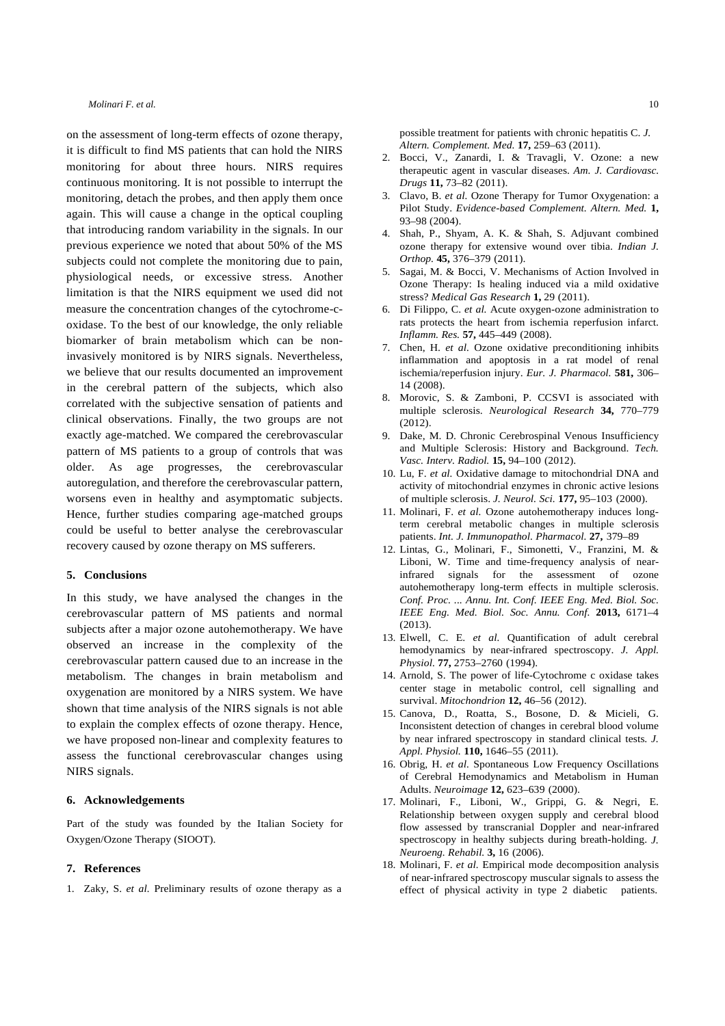on the assessment of long-term effects of ozone therapy, it is difficult to find MS patients that can hold the NIRS monitoring for about three hours. NIRS requires continuous monitoring. It is not possible to interrupt the monitoring, detach the probes, and then apply them once again. This will cause a change in the optical coupling that introducing random variability in the signals. In our previous experience we noted that about 50% of the MS subjects could not complete the monitoring due to pain, physiological needs, or excessive stress. Another limitation is that the NIRS equipment we used did not measure the concentration changes of the cytochrome-coxidase. To the best of our knowledge, the only reliable biomarker of brain metabolism which can be noninvasively monitored is by NIRS signals. Nevertheless, we believe that our results documented an improvement in the cerebral pattern of the subjects, which also correlated with the subjective sensation of patients and clinical observations. Finally, the two groups are not exactly age-matched. We compared the cerebrovascular pattern of MS patients to a group of controls that was older. As age progresses, the cerebrovascular autoregulation, and therefore the cerebrovascular pattern, worsens even in healthy and asymptomatic subjects. Hence, further studies comparing age-matched groups could be useful to better analyse the cerebrovascular recovery caused by ozone therapy on MS sufferers.

#### **5. Conclusions**

In this study, we have analysed the changes in the cerebrovascular pattern of MS patients and normal subjects after a major ozone autohemotherapy. We have observed an increase in the complexity of the cerebrovascular pattern caused due to an increase in the metabolism. The changes in brain metabolism and oxygenation are monitored by a NIRS system. We have shown that time analysis of the NIRS signals is not able to explain the complex effects of ozone therapy. Hence, we have proposed non-linear and complexity features to assess the functional cerebrovascular changes using NIRS signals.

#### **6. Acknowledgements**

Part of the study was founded by the Italian Society for Oxygen/Ozone Therapy (SIOOT).

#### **7. References**

1. Zaky, S. *et al.* Preliminary results of ozone therapy as a

possible treatment for patients with chronic hepatitis C. *J. Altern. Complement. Med.* **17,** 259–63 (2011).

- 2. Bocci, V., Zanardi, I. & Travagli, V. Ozone: a new therapeutic agent in vascular diseases. *Am. J. Cardiovasc. Drugs* **11,** 73–82 (2011).
- 3. Clavo, B. *et al.* Ozone Therapy for Tumor Oxygenation: a Pilot Study. *Evidence-based Complement. Altern. Med.* **1,**  93–98 (2004).
- 4. Shah, P., Shyam, A. K. & Shah, S. Adjuvant combined ozone therapy for extensive wound over tibia. *Indian J. Orthop.* **45,** 376–379 (2011).
- 5. Sagai, M. & Bocci, V. Mechanisms of Action Involved in Ozone Therapy: Is healing induced via a mild oxidative stress? *Medical Gas Research* **1,** 29 (2011).
- 6. Di Filippo, C. *et al.* Acute oxygen-ozone administration to rats protects the heart from ischemia reperfusion infarct. *Inflamm. Res.* **57,** 445–449 (2008).
- 7. Chen, H. *et al.* Ozone oxidative preconditioning inhibits inflammation and apoptosis in a rat model of renal ischemia/reperfusion injury. *Eur. J. Pharmacol.* **581,** 306– 14 (2008).
- 8. Morovic, S. & Zamboni, P. CCSVI is associated with multiple sclerosis. *Neurological Research* **34,** 770–779 (2012).
- 9. Dake, M. D. Chronic Cerebrospinal Venous Insufficiency and Multiple Sclerosis: History and Background. *Tech. Vasc. Interv. Radiol.* **15,** 94–100 (2012).
- 10. Lu, F. *et al.* Oxidative damage to mitochondrial DNA and activity of mitochondrial enzymes in chronic active lesions of multiple sclerosis. *J. Neurol. Sci.* **177,** 95–103 (2000).
- 11. Molinari, F. *et al.* Ozone autohemotherapy induces longterm cerebral metabolic changes in multiple sclerosis patients. *Int. J. Immunopathol. Pharmacol.* **27,** 379–89
- 12. Lintas, G., Molinari, F., Simonetti, V., Franzini, M. & Liboni, W. Time and time-frequency analysis of nearinfrared signals for the assessment of ozone autohemotherapy long-term effects in multiple sclerosis. *Conf. Proc. ... Annu. Int. Conf. IEEE Eng. Med. Biol. Soc. IEEE Eng. Med. Biol. Soc. Annu. Conf.* **2013,** 6171–4 (2013).
- 13. Elwell, C. E. *et al.* Quantification of adult cerebral hemodynamics by near-infrared spectroscopy. *J. Appl. Physiol.* **77,** 2753–2760 (1994).
- 14. Arnold, S. The power of life-Cytochrome c oxidase takes center stage in metabolic control, cell signalling and survival. *Mitochondrion* **12,** 46–56 (2012).
- 15. Canova, D., Roatta, S., Bosone, D. & Micieli, G. Inconsistent detection of changes in cerebral blood volume by near infrared spectroscopy in standard clinical tests. *J. Appl. Physiol.* **110,** 1646–55 (2011).
- 16. Obrig, H. *et al.* Spontaneous Low Frequency Oscillations of Cerebral Hemodynamics and Metabolism in Human Adults. *Neuroimage* **12,** 623–639 (2000).
- 17. Molinari, F., Liboni, W., Grippi, G. & Negri, E. Relationship between oxygen supply and cerebral blood flow assessed by transcranial Doppler and near-infrared spectroscopy in healthy subjects during breath-holding. *J. Neuroeng. Rehabil.* **3,** 16 (2006).
- 18. Molinari, F. *et al.* Empirical mode decomposition analysis of near-infrared spectroscopy muscular signals to assess the effect of physical activity in type 2 diabetic patients.